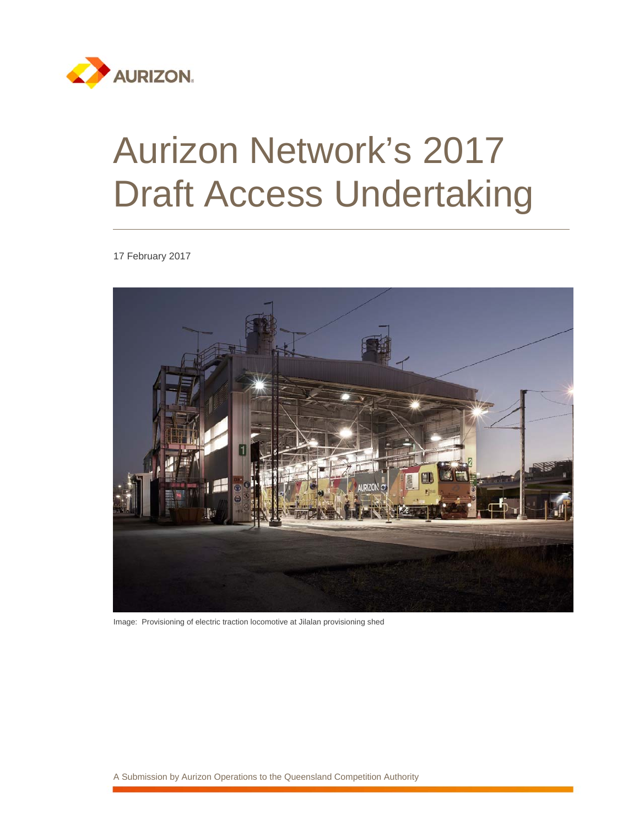

# Aurizon Network's 2017 Draft Access Undertaking

17 February 2017



Image: Provisioning of electric traction locomotive at Jilalan provisioning shed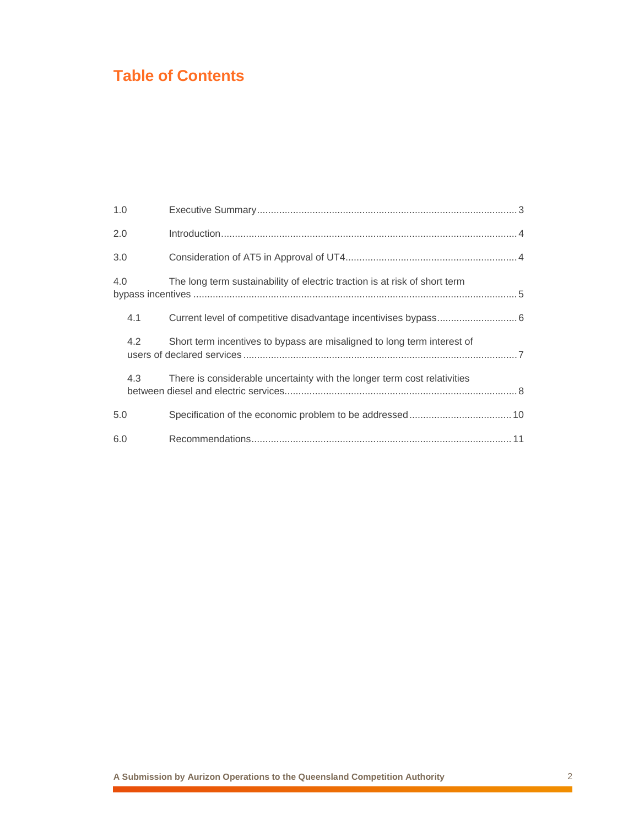### **Table of Contents**

| 1.0 |                                                                            |  |
|-----|----------------------------------------------------------------------------|--|
| 2.0 |                                                                            |  |
| 3.0 |                                                                            |  |
| 4.0 | The long term sustainability of electric traction is at risk of short term |  |
| 4.1 |                                                                            |  |
| 4.2 | Short term incentives to bypass are misaligned to long term interest of    |  |
| 4.3 | There is considerable uncertainty with the longer term cost relativities   |  |
| 5.0 |                                                                            |  |
| 6.0 |                                                                            |  |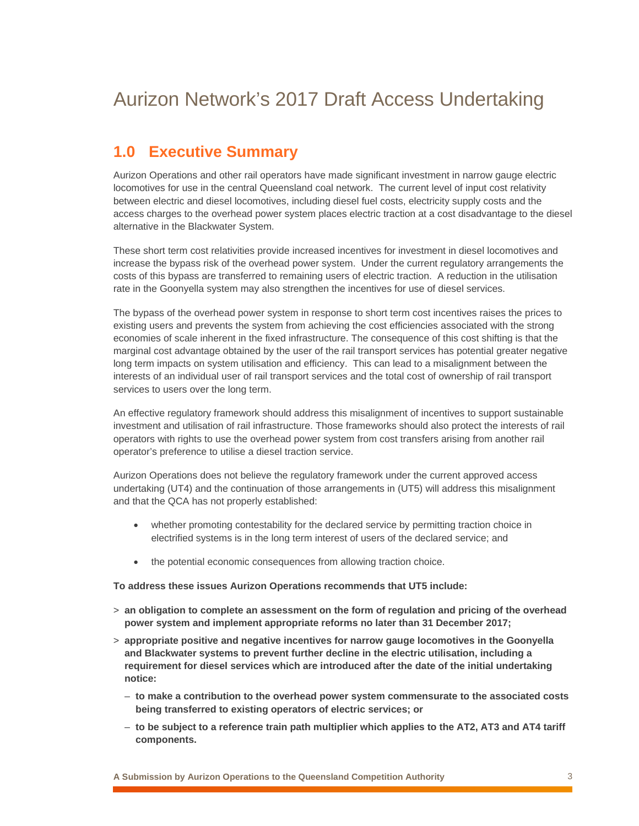## Aurizon Network's 2017 Draft Access Undertaking

#### **1.0 Executive Summary**

Aurizon Operations and other rail operators have made significant investment in narrow gauge electric locomotives for use in the central Queensland coal network. The current level of input cost relativity between electric and diesel locomotives, including diesel fuel costs, electricity supply costs and the access charges to the overhead power system places electric traction at a cost disadvantage to the diesel alternative in the Blackwater System.

These short term cost relativities provide increased incentives for investment in diesel locomotives and increase the bypass risk of the overhead power system. Under the current regulatory arrangements the costs of this bypass are transferred to remaining users of electric traction. A reduction in the utilisation rate in the Goonyella system may also strengthen the incentives for use of diesel services.

The bypass of the overhead power system in response to short term cost incentives raises the prices to existing users and prevents the system from achieving the cost efficiencies associated with the strong economies of scale inherent in the fixed infrastructure. The consequence of this cost shifting is that the marginal cost advantage obtained by the user of the rail transport services has potential greater negative long term impacts on system utilisation and efficiency. This can lead to a misalignment between the interests of an individual user of rail transport services and the total cost of ownership of rail transport services to users over the long term.

An effective regulatory framework should address this misalignment of incentives to support sustainable investment and utilisation of rail infrastructure. Those frameworks should also protect the interests of rail operators with rights to use the overhead power system from cost transfers arising from another rail operator's preference to utilise a diesel traction service.

Aurizon Operations does not believe the regulatory framework under the current approved access undertaking (UT4) and the continuation of those arrangements in (UT5) will address this misalignment and that the QCA has not properly established:

- whether promoting contestability for the declared service by permitting traction choice in electrified systems is in the long term interest of users of the declared service; and
- the potential economic consequences from allowing traction choice.

**To address these issues Aurizon Operations recommends that UT5 include:** 

- > **an obligation to complete an assessment on the form of regulation and pricing of the overhead power system and implement appropriate reforms no later than 31 December 2017;**
- > **appropriate positive and negative incentives for narrow gauge locomotives in the Goonyella and Blackwater systems to prevent further decline in the electric utilisation, including a requirement for diesel services which are introduced after the date of the initial undertaking notice:** 
	- **to make a contribution to the overhead power system commensurate to the associated costs being transferred to existing operators of electric services; or**
	- **to be subject to a reference train path multiplier which applies to the AT2, AT3 and AT4 tariff components.**

**A Submission by Aurizon Operations to the Queensland Competition Authority** 3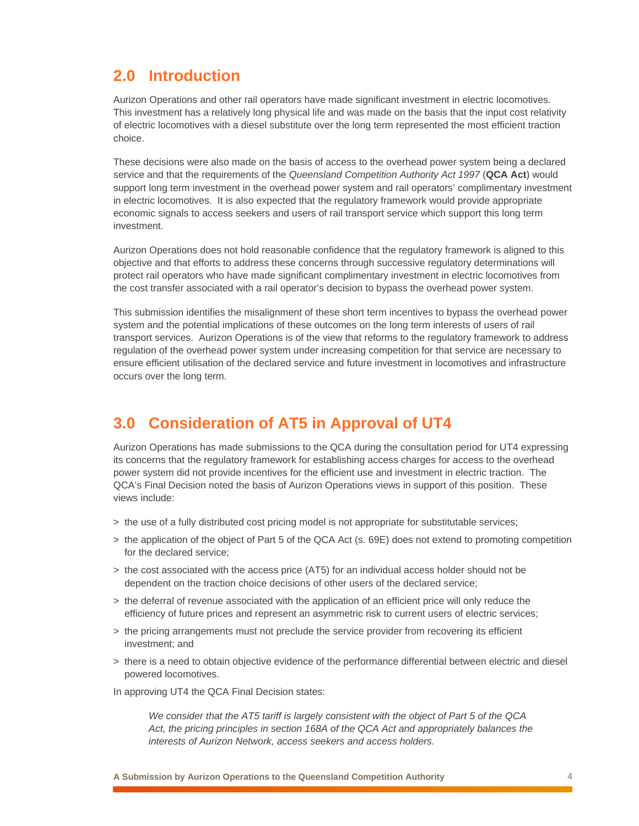#### **2.0 Introduction**

Aurizon Operations and other rail operators have made significant investment in electric locomotives. This investment has a relatively long physical life and was made on the basis that the input cost relativity of electric locomotives with a diesel substitute over the long term represented the most efficient traction choice.

These decisions were also made on the basis of access to the overhead power system being a declared service and that the requirements of the *Queensland Competition Authority Act 1997* (**QCA Act**) would support long term investment in the overhead power system and rail operators' complimentary investment in electric locomotives. It is also expected that the regulatory framework would provide appropriate economic signals to access seekers and users of rail transport service which support this long term investment.

Aurizon Operations does not hold reasonable confidence that the regulatory framework is aligned to this objective and that efforts to address these concerns through successive regulatory determinations will protect rail operators who have made significant complimentary investment in electric locomotives from the cost transfer associated with a rail operator's decision to bypass the overhead power system.

This submission identifies the misalignment of these short term incentives to bypass the overhead power system and the potential implications of these outcomes on the long term interests of users of rail transport services. Aurizon Operations is of the view that reforms to the regulatory framework to address regulation of the overhead power system under increasing competition for that service are necessary to ensure efficient utilisation of the declared service and future investment in locomotives and infrastructure occurs over the long term.

#### **3.0 Consideration of AT5 in Approval of UT4**

Aurizon Operations has made submissions to the QCA during the consultation period for UT4 expressing its concerns that the regulatory framework for establishing access charges for access to the overhead power system did not provide incentives for the efficient use and investment in electric traction. The QCA's Final Decision noted the basis of Aurizon Operations views in support of this position. These views include:

- > the use of a fully distributed cost pricing model is not appropriate for substitutable services;
- > the application of the object of Part 5 of the QCA Act (s. 69E) does not extend to promoting competition for the declared service;
- > the cost associated with the access price (AT5) for an individual access holder should not be dependent on the traction choice decisions of other users of the declared service;
- > the deferral of revenue associated with the application of an efficient price will only reduce the efficiency of future prices and represent an asymmetric risk to current users of electric services;
- > the pricing arrangements must not preclude the service provider from recovering its efficient investment; and
- > there is a need to obtain objective evidence of the performance differential between electric and diesel powered locomotives.

In approving UT4 the QCA Final Decision states:

*We consider that the AT5 tariff is largely consistent with the object of Part 5 of the QCA*  Act, the pricing principles in section 168A of the QCA Act and appropriately balances the *interests of Aurizon Network, access seekers and access holders.*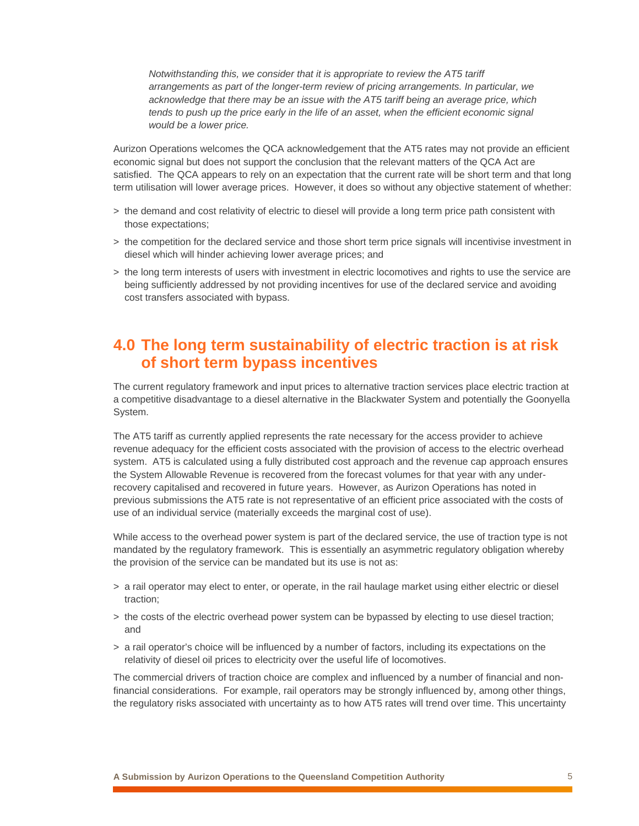*Notwithstanding this, we consider that it is appropriate to review the AT5 tariff arrangements as part of the longer-term review of pricing arrangements. In particular, we acknowledge that there may be an issue with the AT5 tariff being an average price, which tends to push up the price early in the life of an asset, when the efficient economic signal would be a lower price.* 

Aurizon Operations welcomes the QCA acknowledgement that the AT5 rates may not provide an efficient economic signal but does not support the conclusion that the relevant matters of the QCA Act are satisfied. The QCA appears to rely on an expectation that the current rate will be short term and that long term utilisation will lower average prices. However, it does so without any objective statement of whether:

- > the demand and cost relativity of electric to diesel will provide a long term price path consistent with those expectations;
- > the competition for the declared service and those short term price signals will incentivise investment in diesel which will hinder achieving lower average prices; and
- > the long term interests of users with investment in electric locomotives and rights to use the service are being sufficiently addressed by not providing incentives for use of the declared service and avoiding cost transfers associated with bypass.

#### **4.0 The long term sustainability of electric traction is at risk of short term bypass incentives**

The current regulatory framework and input prices to alternative traction services place electric traction at a competitive disadvantage to a diesel alternative in the Blackwater System and potentially the Goonyella System.

The AT5 tariff as currently applied represents the rate necessary for the access provider to achieve revenue adequacy for the efficient costs associated with the provision of access to the electric overhead system. AT5 is calculated using a fully distributed cost approach and the revenue cap approach ensures the System Allowable Revenue is recovered from the forecast volumes for that year with any underrecovery capitalised and recovered in future years. However, as Aurizon Operations has noted in previous submissions the AT5 rate is not representative of an efficient price associated with the costs of use of an individual service (materially exceeds the marginal cost of use).

While access to the overhead power system is part of the declared service, the use of traction type is not mandated by the regulatory framework. This is essentially an asymmetric regulatory obligation whereby the provision of the service can be mandated but its use is not as:

- > a rail operator may elect to enter, or operate, in the rail haulage market using either electric or diesel traction;
- > the costs of the electric overhead power system can be bypassed by electing to use diesel traction; and
- > a rail operator's choice will be influenced by a number of factors, including its expectations on the relativity of diesel oil prices to electricity over the useful life of locomotives.

The commercial drivers of traction choice are complex and influenced by a number of financial and nonfinancial considerations. For example, rail operators may be strongly influenced by, among other things, the regulatory risks associated with uncertainty as to how AT5 rates will trend over time. This uncertainty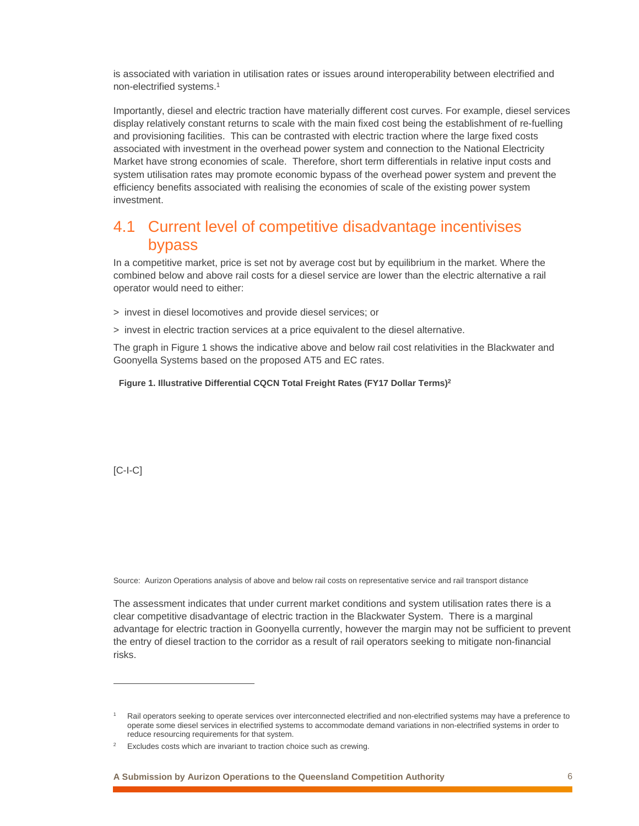is associated with variation in utilisation rates or issues around interoperability between electrified and non-electrified systems.1

Importantly, diesel and electric traction have materially different cost curves. For example, diesel services display relatively constant returns to scale with the main fixed cost being the establishment of re-fuelling and provisioning facilities. This can be contrasted with electric traction where the large fixed costs associated with investment in the overhead power system and connection to the National Electricity Market have strong economies of scale. Therefore, short term differentials in relative input costs and system utilisation rates may promote economic bypass of the overhead power system and prevent the efficiency benefits associated with realising the economies of scale of the existing power system investment.

#### 4.1 Current level of competitive disadvantage incentivises bypass

In a competitive market, price is set not by average cost but by equilibrium in the market. Where the combined below and above rail costs for a diesel service are lower than the electric alternative a rail operator would need to either:

- > invest in diesel locomotives and provide diesel services; or
- > invest in electric traction services at a price equivalent to the diesel alternative.

The graph in Figure 1 shows the indicative above and below rail cost relativities in the Blackwater and Goonyella Systems based on the proposed AT5 and EC rates.

**Figure 1. Illustrative Differential CQCN Total Freight Rates (FY17 Dollar Terms)2**

[C-I-C]

 $\overline{a}$ 

Source: Aurizon Operations analysis of above and below rail costs on representative service and rail transport distance

The assessment indicates that under current market conditions and system utilisation rates there is a clear competitive disadvantage of electric traction in the Blackwater System. There is a marginal advantage for electric traction in Goonyella currently, however the margin may not be sufficient to prevent the entry of diesel traction to the corridor as a result of rail operators seeking to mitigate non-financial risks.

<sup>1</sup> Rail operators seeking to operate services over interconnected electrified and non-electrified systems may have a preference to operate some diesel services in electrified systems to accommodate demand variations in non-electrified systems in order to reduce resourcing requirements for that system.

<sup>2</sup> Excludes costs which are invariant to traction choice such as crewing.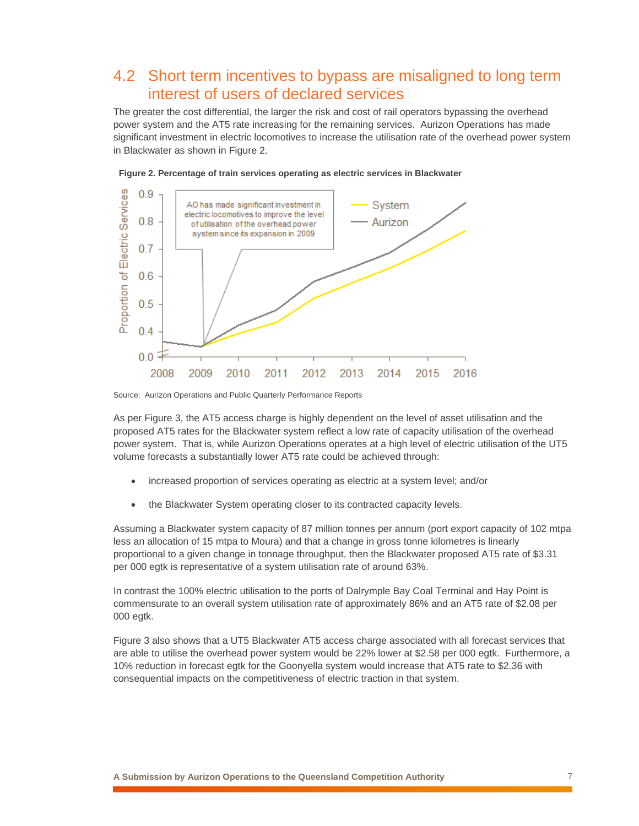#### 4.2 Short term incentives to bypass are misaligned to long term interest of users of declared services

The greater the cost differential, the larger the risk and cost of rail operators bypassing the overhead power system and the AT5 rate increasing for the remaining services. Aurizon Operations has made significant investment in electric locomotives to increase the utilisation rate of the overhead power system in Blackwater as shown in Figure 2.





Source: Aurizon Operations and Public Quarterly Performance Reports

As per Figure 3, the AT5 access charge is highly dependent on the level of asset utilisation and the proposed AT5 rates for the Blackwater system reflect a low rate of capacity utilisation of the overhead power system. That is, while Aurizon Operations operates at a high level of electric utilisation of the UT5 volume forecasts a substantially lower AT5 rate could be achieved through:

- increased proportion of services operating as electric at a system level; and/or
- the Blackwater System operating closer to its contracted capacity levels.

Assuming a Blackwater system capacity of 87 million tonnes per annum (port export capacity of 102 mtpa less an allocation of 15 mtpa to Moura) and that a change in gross tonne kilometres is linearly proportional to a given change in tonnage throughput, then the Blackwater proposed AT5 rate of \$3.31 per 000 egtk is representative of a system utilisation rate of around 63%.

In contrast the 100% electric utilisation to the ports of Dalrymple Bay Coal Terminal and Hay Point is commensurate to an overall system utilisation rate of approximately 86% and an AT5 rate of \$2.08 per 000 egtk.

Figure 3 also shows that a UT5 Blackwater AT5 access charge associated with all forecast services that are able to utilise the overhead power system would be 22% lower at \$2.58 per 000 egtk. Furthermore, a 10% reduction in forecast egtk for the Goonyella system would increase that AT5 rate to \$2.36 with consequential impacts on the competitiveness of electric traction in that system.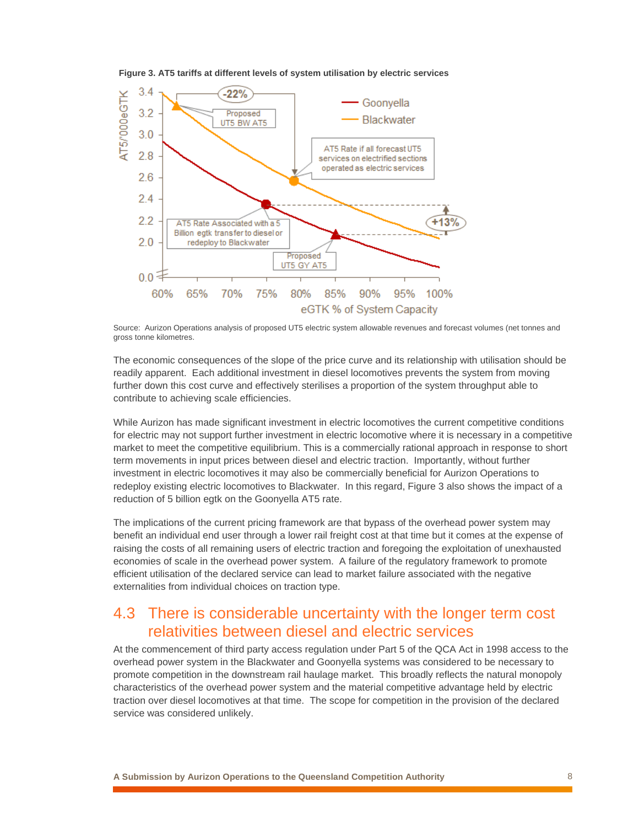



Source: Aurizon Operations analysis of proposed UT5 electric system allowable revenues and forecast volumes (net tonnes and gross tonne kilometres.

The economic consequences of the slope of the price curve and its relationship with utilisation should be readily apparent. Each additional investment in diesel locomotives prevents the system from moving further down this cost curve and effectively sterilises a proportion of the system throughput able to contribute to achieving scale efficiencies.

While Aurizon has made significant investment in electric locomotives the current competitive conditions for electric may not support further investment in electric locomotive where it is necessary in a competitive market to meet the competitive equilibrium. This is a commercially rational approach in response to short term movements in input prices between diesel and electric traction. Importantly, without further investment in electric locomotives it may also be commercially beneficial for Aurizon Operations to redeploy existing electric locomotives to Blackwater. In this regard, Figure 3 also shows the impact of a reduction of 5 billion egtk on the Goonyella AT5 rate.

The implications of the current pricing framework are that bypass of the overhead power system may benefit an individual end user through a lower rail freight cost at that time but it comes at the expense of raising the costs of all remaining users of electric traction and foregoing the exploitation of unexhausted economies of scale in the overhead power system. A failure of the regulatory framework to promote efficient utilisation of the declared service can lead to market failure associated with the negative externalities from individual choices on traction type.

#### 4.3 There is considerable uncertainty with the longer term cost relativities between diesel and electric services

At the commencement of third party access regulation under Part 5 of the QCA Act in 1998 access to the overhead power system in the Blackwater and Goonyella systems was considered to be necessary to promote competition in the downstream rail haulage market. This broadly reflects the natural monopoly characteristics of the overhead power system and the material competitive advantage held by electric traction over diesel locomotives at that time. The scope for competition in the provision of the declared service was considered unlikely.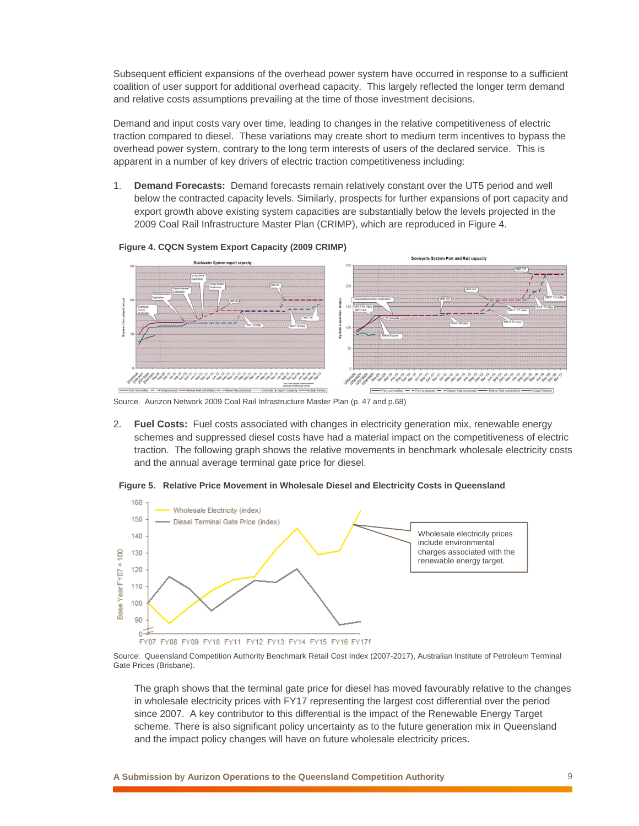Subsequent efficient expansions of the overhead power system have occurred in response to a sufficient coalition of user support for additional overhead capacity. This largely reflected the longer term demand and relative costs assumptions prevailing at the time of those investment decisions.

Demand and input costs vary over time, leading to changes in the relative competitiveness of electric traction compared to diesel. These variations may create short to medium term incentives to bypass the overhead power system, contrary to the long term interests of users of the declared service. This is apparent in a number of key drivers of electric traction competitiveness including:

1. **Demand Forecasts:** Demand forecasts remain relatively constant over the UT5 period and well below the contracted capacity levels. Similarly, prospects for further expansions of port capacity and export growth above existing system capacities are substantially below the levels projected in the 2009 Coal Rail Infrastructure Master Plan (CRIMP), which are reproduced in Figure 4.



#### **Figure 4. CQCN System Export Capacity (2009 CRIMP)**

Source. Aurizon Network 2009 Coal Rail Infrastructure Master Plan (p. 47 and p.68)

2. **Fuel Costs:** Fuel costs associated with changes in electricity generation mix, renewable energy schemes and suppressed diesel costs have had a material impact on the competitiveness of electric traction. The following graph shows the relative movements in benchmark wholesale electricity costs and the annual average terminal gate price for diesel.





Source: Queensland Competition Authority Benchmark Retail Cost Index (2007-2017), Australian Institute of Petroleum Terminal Gate Prices (Brisbane).

The graph shows that the terminal gate price for diesel has moved favourably relative to the changes in wholesale electricity prices with FY17 representing the largest cost differential over the period since 2007. A key contributor to this differential is the impact of the Renewable Energy Target scheme. There is also significant policy uncertainty as to the future generation mix in Queensland and the impact policy changes will have on future wholesale electricity prices.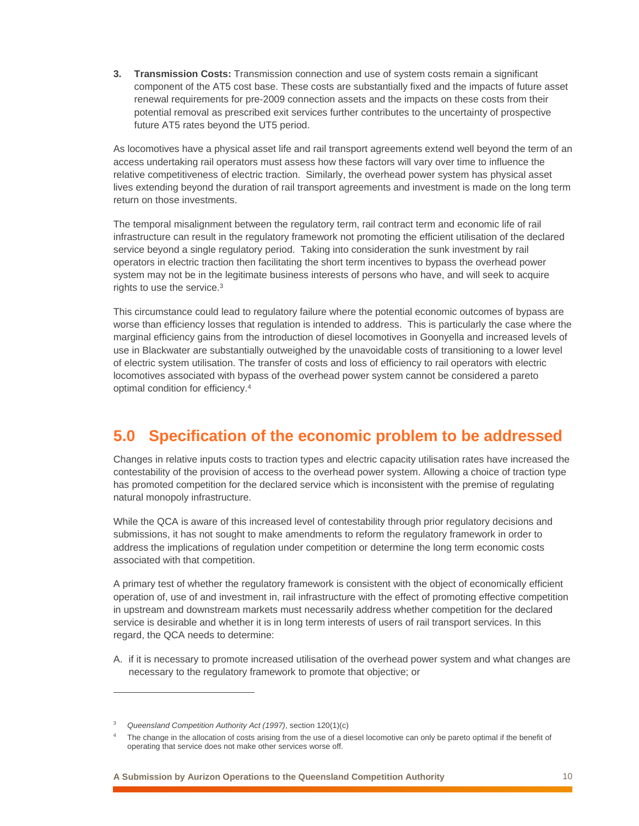**3. Transmission Costs:** Transmission connection and use of system costs remain a significant component of the AT5 cost base. These costs are substantially fixed and the impacts of future asset renewal requirements for pre-2009 connection assets and the impacts on these costs from their potential removal as prescribed exit services further contributes to the uncertainty of prospective future AT5 rates beyond the UT5 period.

As locomotives have a physical asset life and rail transport agreements extend well beyond the term of an access undertaking rail operators must assess how these factors will vary over time to influence the relative competitiveness of electric traction. Similarly, the overhead power system has physical asset lives extending beyond the duration of rail transport agreements and investment is made on the long term return on those investments.

The temporal misalignment between the regulatory term, rail contract term and economic life of rail infrastructure can result in the regulatory framework not promoting the efficient utilisation of the declared service beyond a single regulatory period. Taking into consideration the sunk investment by rail operators in electric traction then facilitating the short term incentives to bypass the overhead power system may not be in the legitimate business interests of persons who have, and will seek to acquire rights to use the service.3

This circumstance could lead to regulatory failure where the potential economic outcomes of bypass are worse than efficiency losses that regulation is intended to address. This is particularly the case where the marginal efficiency gains from the introduction of diesel locomotives in Goonyella and increased levels of use in Blackwater are substantially outweighed by the unavoidable costs of transitioning to a lower level of electric system utilisation. The transfer of costs and loss of efficiency to rail operators with electric locomotives associated with bypass of the overhead power system cannot be considered a pareto optimal condition for efficiency.4

#### **5.0 Specification of the economic problem to be addressed**

Changes in relative inputs costs to traction types and electric capacity utilisation rates have increased the contestability of the provision of access to the overhead power system. Allowing a choice of traction type has promoted competition for the declared service which is inconsistent with the premise of regulating natural monopoly infrastructure.

While the QCA is aware of this increased level of contestability through prior regulatory decisions and submissions, it has not sought to make amendments to reform the regulatory framework in order to address the implications of regulation under competition or determine the long term economic costs associated with that competition.

A primary test of whether the regulatory framework is consistent with the object of economically efficient operation of, use of and investment in, rail infrastructure with the effect of promoting effective competition in upstream and downstream markets must necessarily address whether competition for the declared service is desirable and whether it is in long term interests of users of rail transport services. In this regard, the QCA needs to determine:

A. if it is necessary to promote increased utilisation of the overhead power system and what changes are necessary to the regulatory framework to promote that objective; or

 $\overline{a}$ 

<sup>3</sup> *Queensland Competition Authority Act (1997)*, section 120(1)(c)

<sup>4</sup> The change in the allocation of costs arising from the use of a diesel locomotive can only be pareto optimal if the benefit of operating that service does not make other services worse off.

**A Submission by Aurizon Operations to the Queensland Competition Authority** 10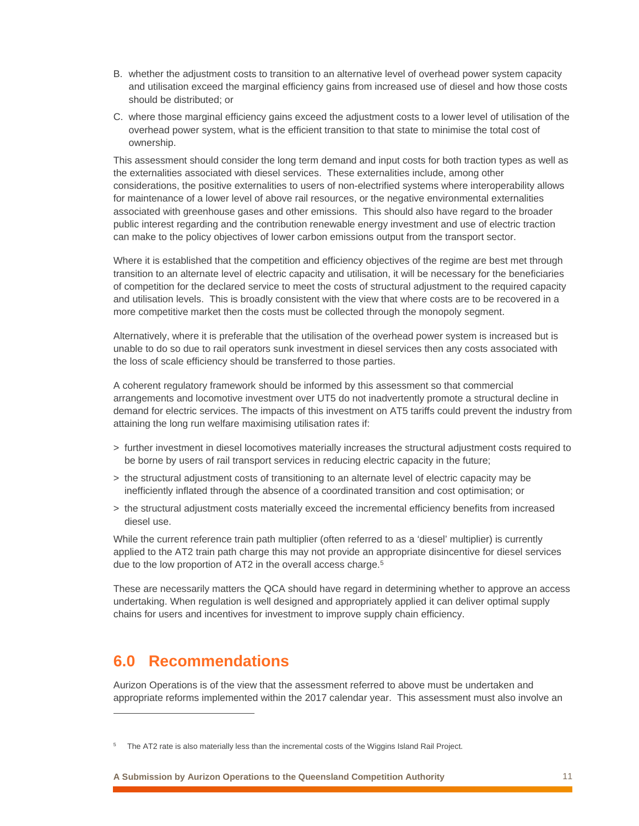- B. whether the adjustment costs to transition to an alternative level of overhead power system capacity and utilisation exceed the marginal efficiency gains from increased use of diesel and how those costs should be distributed; or
- C. where those marginal efficiency gains exceed the adjustment costs to a lower level of utilisation of the overhead power system, what is the efficient transition to that state to minimise the total cost of ownership.

This assessment should consider the long term demand and input costs for both traction types as well as the externalities associated with diesel services. These externalities include, among other considerations, the positive externalities to users of non-electrified systems where interoperability allows for maintenance of a lower level of above rail resources, or the negative environmental externalities associated with greenhouse gases and other emissions. This should also have regard to the broader public interest regarding and the contribution renewable energy investment and use of electric traction can make to the policy objectives of lower carbon emissions output from the transport sector.

Where it is established that the competition and efficiency objectives of the regime are best met through transition to an alternate level of electric capacity and utilisation, it will be necessary for the beneficiaries of competition for the declared service to meet the costs of structural adjustment to the required capacity and utilisation levels. This is broadly consistent with the view that where costs are to be recovered in a more competitive market then the costs must be collected through the monopoly segment.

Alternatively, where it is preferable that the utilisation of the overhead power system is increased but is unable to do so due to rail operators sunk investment in diesel services then any costs associated with the loss of scale efficiency should be transferred to those parties.

A coherent regulatory framework should be informed by this assessment so that commercial arrangements and locomotive investment over UT5 do not inadvertently promote a structural decline in demand for electric services. The impacts of this investment on AT5 tariffs could prevent the industry from attaining the long run welfare maximising utilisation rates if:

- > further investment in diesel locomotives materially increases the structural adjustment costs required to be borne by users of rail transport services in reducing electric capacity in the future;
- > the structural adjustment costs of transitioning to an alternate level of electric capacity may be inefficiently inflated through the absence of a coordinated transition and cost optimisation; or
- > the structural adjustment costs materially exceed the incremental efficiency benefits from increased diesel use.

While the current reference train path multiplier (often referred to as a 'diesel' multiplier) is currently applied to the AT2 train path charge this may not provide an appropriate disincentive for diesel services due to the low proportion of AT2 in the overall access charge.5

These are necessarily matters the QCA should have regard in determining whether to approve an access undertaking. When regulation is well designed and appropriately applied it can deliver optimal supply chains for users and incentives for investment to improve supply chain efficiency.

#### **6.0 Recommendations**

 $\overline{a}$ 

Aurizon Operations is of the view that the assessment referred to above must be undertaken and appropriate reforms implemented within the 2017 calendar year. This assessment must also involve an

<sup>&</sup>lt;sup>5</sup> The AT2 rate is also materially less than the incremental costs of the Wiggins Island Rail Project.